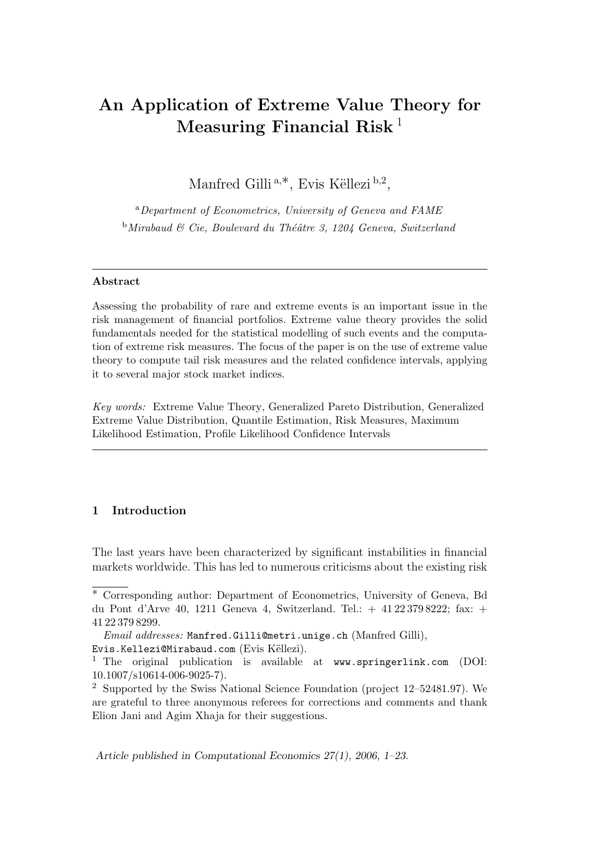# An Application of Extreme Value Theory for Measuring Financial Risk<sup>1</sup>

Manfred Gilli<sup>a,\*</sup>, Evis Këllezi<sup>b,2</sup>,

<sup>a</sup>Department of Econometrics, University of Geneva and FAME  $b$ Mirabaud  $b$ <sup>s</sup> Cie. Boulevard du Théâtre 3, 1204 Geneva, Switzerland

### Abstract

Assessing the probability of rare and extreme events is an important issue in the risk management of financial portfolios. Extreme value theory provides the solid fundamentals needed for the statistical modelling of such events and the computation of extreme risk measures. The focus of the paper is on the use of extreme value theory to compute tail risk measures and the related confidence intervals, applying it to several major stock market indices.

Key words: Extreme Value Theory, Generalized Pareto Distribution, Generalized Extreme Value Distribution, Quantile Estimation, Risk Measures, Maximum Likelihood Estimation, Profile Likelihood Confidence Intervals

# 1 Introduction

The last years have been characterized by significant instabilities in financial markets worldwide. This has led to numerous criticisms about the existing risk

Evis.Kellezi@Mirabaud.com (Evis Këllezi).

Article published in Computational Economics 27(1), 2006, 1–23.

<sup>∗</sup> Corresponding author: Department of Econometrics, University of Geneva, Bd du Pont d'Arve 40, 1211 Geneva 4, Switzerland. Tel.: + 41 22 379 8222; fax: + 41 22 379 8299.

Email addresses: Manfred.Gilli@metri.unige.ch (Manfred Gilli),

<sup>&</sup>lt;sup>1</sup> The original publication is available at  $www.springerlink.com$  (DOI: 10.1007/s10614-006-9025-7).

<sup>2</sup> Supported by the Swiss National Science Foundation (project 12–52481.97). We are grateful to three anonymous referees for corrections and comments and thank Elion Jani and Agim Xhaja for their suggestions.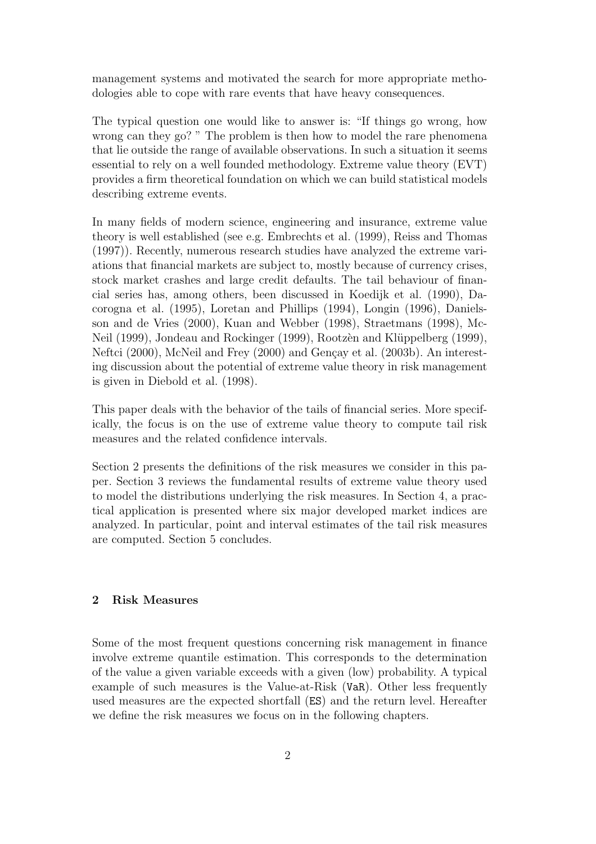management systems and motivated the search for more appropriate methodologies able to cope with rare events that have heavy consequences.

The typical question one would like to answer is: "If things go wrong, how wrong can they go? " The problem is then how to model the rare phenomena that lie outside the range of available observations. In such a situation it seems essential to rely on a well founded methodology. Extreme value theory (EVT) provides a firm theoretical foundation on which we can build statistical models describing extreme events.

In many fields of modern science, engineering and insurance, extreme value theory is well established (see e.g. Embrechts et al. (1999), Reiss and Thomas (1997)). Recently, numerous research studies have analyzed the extreme variations that financial markets are subject to, mostly because of currency crises, stock market crashes and large credit defaults. The tail behaviour of financial series has, among others, been discussed in Koedijk et al. (1990), Dacorogna et al. (1995), Loretan and Phillips (1994), Longin (1996), Danielsson and de Vries (2000), Kuan and Webber (1998), Straetmans (1998), Mc-Neil (1999), Jondeau and Rockinger (1999), Rootzèn and Klüppelberg (1999), Neftci  $(2000)$ , McNeil and Frey  $(2000)$  and Gençay et al.  $(2003b)$ . An interesting discussion about the potential of extreme value theory in risk management is given in Diebold et al. (1998).

This paper deals with the behavior of the tails of financial series. More specifically, the focus is on the use of extreme value theory to compute tail risk measures and the related confidence intervals.

Section 2 presents the definitions of the risk measures we consider in this paper. Section 3 reviews the fundamental results of extreme value theory used to model the distributions underlying the risk measures. In Section 4, a practical application is presented where six major developed market indices are analyzed. In particular, point and interval estimates of the tail risk measures are computed. Section 5 concludes.

# 2 Risk Measures

Some of the most frequent questions concerning risk management in finance involve extreme quantile estimation. This corresponds to the determination of the value a given variable exceeds with a given (low) probability. A typical example of such measures is the Value-at-Risk (VaR). Other less frequently used measures are the expected shortfall (ES) and the return level. Hereafter we define the risk measures we focus on in the following chapters.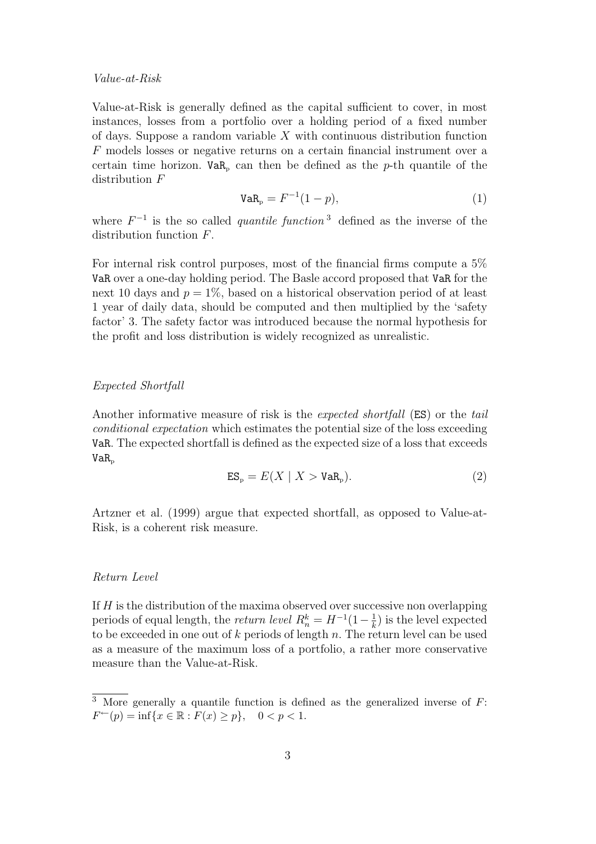#### Value-at-Risk

Value-at-Risk is generally defined as the capital sufficient to cover, in most instances, losses from a portfolio over a holding period of a fixed number of days. Suppose a random variable  $X$  with continuous distribution function F models losses or negative returns on a certain financial instrument over a certain time horizon. VaR<sub>p</sub> can then be defined as the p-th quantile of the distribution F

$$
VaR_p = F^{-1}(1-p),
$$
\n(1)

where  $F^{-1}$  is the so called *quantile function*<sup>3</sup> defined as the inverse of the distribution function  $F$ .

For internal risk control purposes, most of the financial firms compute a 5% VaR over a one-day holding period. The Basle accord proposed that VaR for the next 10 days and  $p = 1\%$ , based on a historical observation period of at least 1 year of daily data, should be computed and then multiplied by the 'safety factor' 3. The safety factor was introduced because the normal hypothesis for the profit and loss distribution is widely recognized as unrealistic.

### Expected Shortfall

Another informative measure of risk is the expected shortfall (ES) or the tail conditional expectation which estimates the potential size of the loss exceeding VaR. The expected shortfall is defined as the expected size of a loss that exceeds  $VaR_n$ 

$$
ES_{\mathbf{p}} = E(X \mid X > \text{VaR}_{\mathbf{p}}). \tag{2}
$$

Artzner et al. (1999) argue that expected shortfall, as opposed to Value-at-Risk, is a coherent risk measure.

## Return Level

If  $H$  is the distribution of the maxima observed over successive non overlapping periods of equal length, the *return level*  $R_n^k = H^{-1}(1 - \frac{1}{k})$  $\frac{1}{k}$ ) is the level expected to be exceeded in one out of  $k$  periods of length  $n$ . The return level can be used as a measure of the maximum loss of a portfolio, a rather more conservative measure than the Value-at-Risk.

<sup>&</sup>lt;sup>3</sup> More generally a quantile function is defined as the generalized inverse of  $F$ :  $F^{\leftarrow}(p) = \inf\{x \in \mathbb{R} : F(x) \geq p\}, \quad 0 < p < 1.$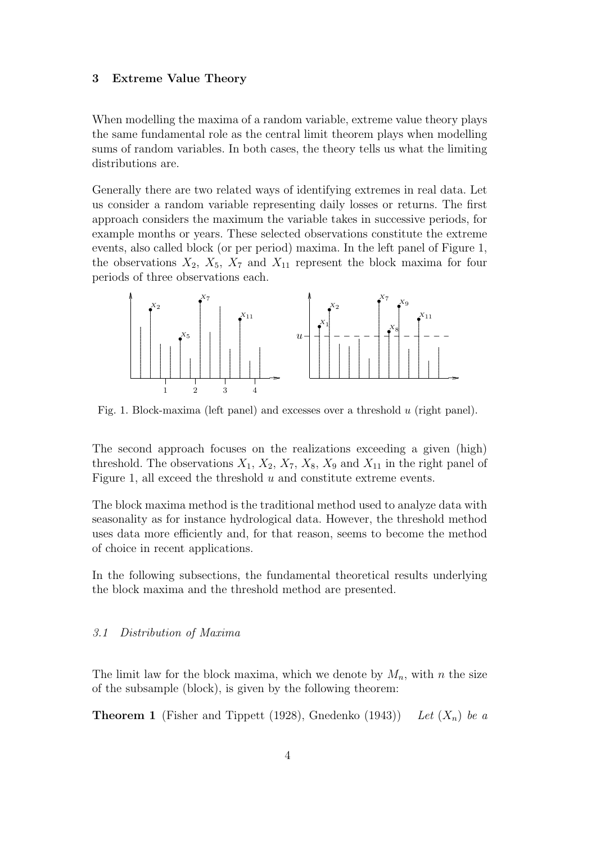### 3 Extreme Value Theory

When modelling the maxima of a random variable, extreme value theory plays the same fundamental role as the central limit theorem plays when modelling sums of random variables. In both cases, the theory tells us what the limiting distributions are.

Generally there are two related ways of identifying extremes in real data. Let us consider a random variable representing daily losses or returns. The first approach considers the maximum the variable takes in successive periods, for example months or years. These selected observations constitute the extreme events, also called block (or per period) maxima. In the left panel of Figure 1, the observations  $X_2$ ,  $X_5$ ,  $X_7$  and  $X_{11}$  represent the block maxima for four periods of three observations each.



Fig. 1. Block-maxima (left panel) and excesses over a threshold u (right panel).

The second approach focuses on the realizations exceeding a given (high) threshold. The observations  $X_1, X_2, X_7, X_8, X_9$  and  $X_{11}$  in the right panel of Figure 1, all exceed the threshold  $u$  and constitute extreme events.

The block maxima method is the traditional method used to analyze data with seasonality as for instance hydrological data. However, the threshold method uses data more efficiently and, for that reason, seems to become the method of choice in recent applications.

In the following subsections, the fundamental theoretical results underlying the block maxima and the threshold method are presented.

### 3.1 Distribution of Maxima

The limit law for the block maxima, which we denote by  $M_n$ , with n the size of the subsample (block), is given by the following theorem:

**Theorem 1** (Fisher and Tippett (1928), Gnedenko (1943)) Let  $(X_n)$  be a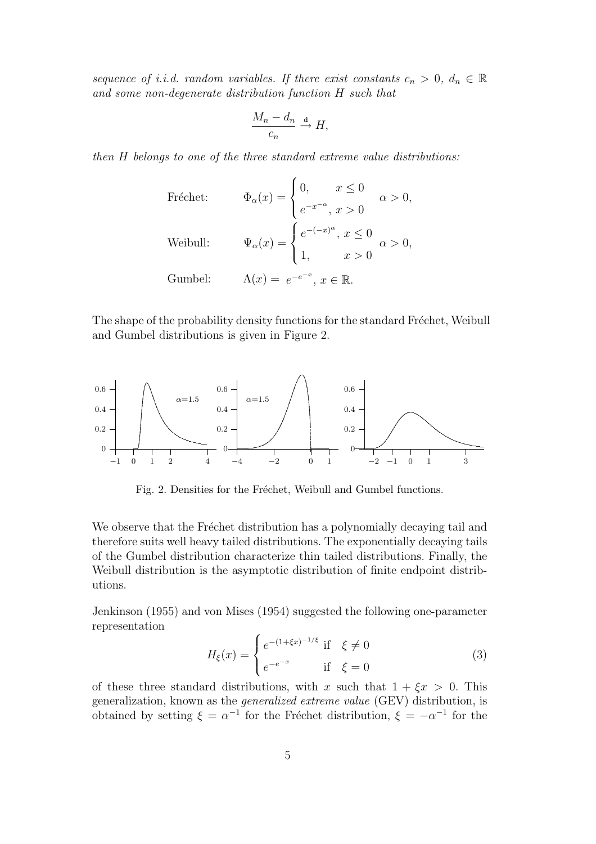sequence of i.i.d. random variables. If there exist constants  $c_n > 0$ ,  $d_n \in \mathbb{R}$ and some non-degenerate distribution function H such that

$$
\frac{M_n-d_n}{c_n}\xrightarrow{d}H,
$$

then H belongs to one of the three standard extreme value distributions:

Fréchet: 
$$
\Phi_{\alpha}(x) = \begin{cases} 0, & x \leq 0 \\ e^{-x^{-\alpha}}, & x > 0 \end{cases} \quad \alpha > 0,
$$
 Weibull: 
$$
\Psi_{\alpha}(x) = \begin{cases} e^{-(-x)^{\alpha}}, & x \leq 0 \\ 1, & x > 0 \end{cases} \quad \alpha > 0,
$$
 Gumbel: 
$$
\Lambda(x) = e^{-e^{-x}}, x \in \mathbb{R}.
$$

The shape of the probability density functions for the standard Fréchet, Weibull and Gumbel distributions is given in Figure 2.



Fig. 2. Densities for the Fréchet, Weibull and Gumbel functions.

We observe that the Fréchet distribution has a polynomially decaying tail and therefore suits well heavy tailed distributions. The exponentially decaying tails of the Gumbel distribution characterize thin tailed distributions. Finally, the Weibull distribution is the asymptotic distribution of finite endpoint distributions.

Jenkinson (1955) and von Mises (1954) suggested the following one-parameter representation  $\overline{a}$ 

$$
H_{\xi}(x) = \begin{cases} e^{-(1+\xi x)^{-1/\xi}} & \text{if } \xi \neq 0\\ e^{-e^{-x}} & \text{if } \xi = 0 \end{cases}
$$
 (3)

of these three standard distributions, with x such that  $1 + \xi x > 0$ . This generalization, known as the generalized extreme value (GEV) distribution, is obtained by setting  $\xi = \alpha^{-1}$  for the Fréchet distribution,  $\xi = -\alpha^{-1}$  for the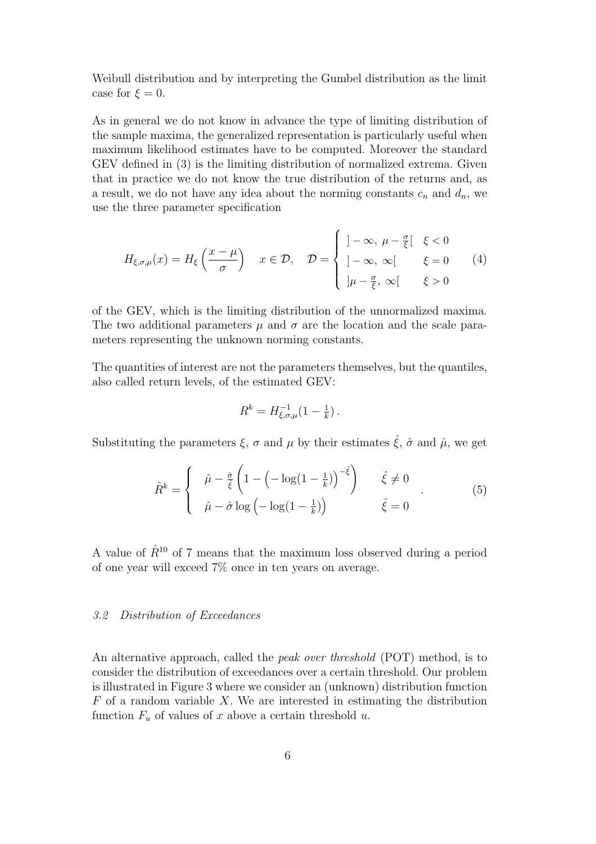Weibull distribution and by interpreting the Gumbel distribution as the limit case for  $\xi = 0$ .

As in general we do not know in advance the type of limiting distribution of the sample maxima, the generalized representation is particularly useful when maximum likelihood estimates have to be computed. Moreover the standard GEV defined in (3) is the limiting distribution of normalized extrema. Given that in practice we do not know the true distribution of the returns and, as a result, we do not have any idea about the norming constants  $c_n$  and  $d_n$ , we use the three parameter specification

$$
H_{\xi,\sigma,\mu}(x) = H_{\xi}\left(\frac{x-\mu}{\sigma}\right) \quad x \in \mathcal{D}, \quad \mathcal{D} = \begin{cases} |-\infty, \ \mu - \frac{\sigma}{\xi}| & \xi < 0 \\ |-\infty, \ \infty| & \xi = 0 \\ |\mu - \frac{\sigma}{\xi}, \ \infty| & \xi > 0 \end{cases}
$$
(4)

of the GEV, which is the limiting distribution of the unnormalized maxima. The two additional parameters  $\mu$  and  $\sigma$  are the location and the scale parameters representing the unknown norming constants.

The quantities of interest are not the parameters themselves, but the quantiles, also called return levels, of the estimated GEV:

$$
R^k = H_{\xi,\sigma,\mu}^{-1}(1 - \frac{1}{k}).
$$

Substituting the parameters  $\xi$ ,  $\sigma$  and  $\mu$  by their estimates  $\hat{\xi}$ ,  $\hat{\sigma}$  and  $\hat{\mu}$ , we get

$$
\hat{R}^{k} = \begin{cases}\n\hat{\mu} - \frac{\hat{\sigma}}{\hat{\xi}} \left( 1 - \left( -\log(1 - \frac{1}{k}) \right)^{-\hat{\xi}} \right) & \hat{\xi} \neq 0 \\
\hat{\mu} - \hat{\sigma} \log \left( -\log(1 - \frac{1}{k}) \right) & \hat{\xi} = 0\n\end{cases} (5)
$$

A value of  $\hat{R}^{10}$  of 7 means that the maximum loss observed during a period of one year will exceed 7% once in ten years on average.

### 3.2 Distribution of Exceedances

An alternative approach, called the *peak over threshold* (POT) method, is to consider the distribution of exceedances over a certain threshold. Our problem is illustrated in Figure 3 where we consider an (unknown) distribution function  $F$  of a random variable X. We are interested in estimating the distribution function  $F_u$  of values of x above a certain threshold u.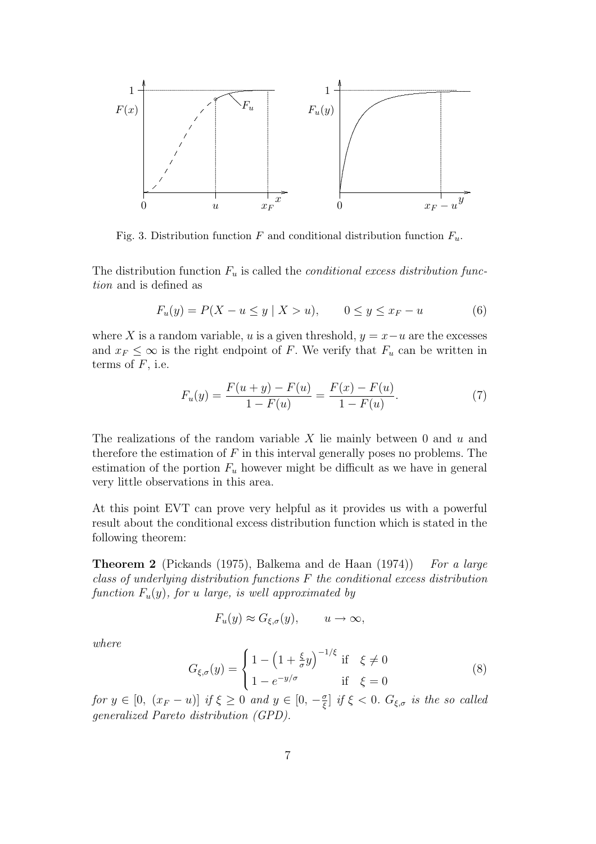

Fig. 3. Distribution function F and conditional distribution function  $F_u$ .

The distribution function  $F_u$  is called the *conditional excess distribution func*tion and is defined as

$$
F_u(y) = P(X - u \le y \mid X > u), \qquad 0 \le y \le x_F - u \tag{6}
$$

where X is a random variable, u is a given threshold,  $y = x - u$  are the excesses and  $x_F \leq \infty$  is the right endpoint of F. We verify that  $F_u$  can be written in terms of  $F$ , i.e.

$$
F_u(y) = \frac{F(u+y) - F(u)}{1 - F(u)} = \frac{F(x) - F(u)}{1 - F(u)}.
$$
\n(7)

The realizations of the random variable  $X$  lie mainly between 0 and  $u$  and therefore the estimation of  $F$  in this interval generally poses no problems. The estimation of the portion  $F_u$  however might be difficult as we have in general very little observations in this area.

At this point EVT can prove very helpful as it provides us with a powerful result about the conditional excess distribution function which is stated in the following theorem:

Theorem 2 (Pickands (1975), Balkema and de Haan (1974)) For a large class of underlying distribution functions  $F$  the conditional excess distribution function  $F_u(y)$ , for u large, is well approximated by

$$
F_u(y) \approx G_{\xi,\sigma}(y), \qquad u \to \infty,
$$

where

$$
G_{\xi,\sigma}(y) = \begin{cases} 1 - \left(1 + \frac{\xi}{\sigma}y\right)^{-1/\xi} & \text{if } \xi \neq 0\\ 1 - e^{-y/\sigma} & \text{if } \xi = 0 \end{cases}
$$
 (8)

for  $y \in [0, (x_F - u)]$  if  $\xi \ge 0$  and  $y \in [0, -\frac{\sigma}{\xi}]$  $\left[ \frac{\sigma}{\xi} \right]$  if  $\xi < 0$ .  $G_{\xi,\sigma}$  is the so-called generalized Pareto distribution (GPD).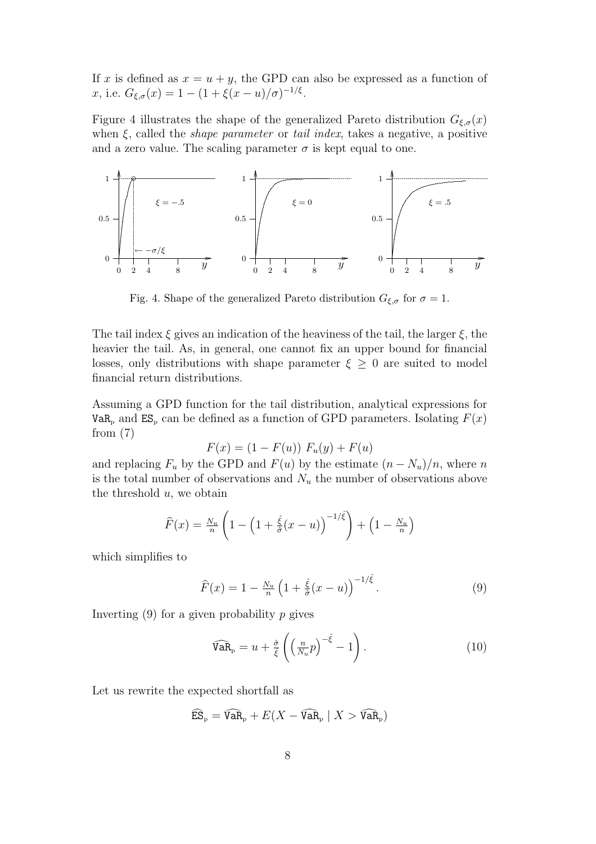If x is defined as  $x = u + y$ , the GPD can also be expressed as a function of x, i.e.  $G_{\xi,\sigma}(x) = 1 - (1 + \xi(x - u)/\sigma)^{-1/\xi}$ .

Figure 4 illustrates the shape of the generalized Pareto distribution  $G_{\xi,\sigma}(x)$ when  $\xi$ , called the *shape parameter* or *tail index*, takes a negative, a positive and a zero value. The scaling parameter  $\sigma$  is kept equal to one.



Fig. 4. Shape of the generalized Pareto distribution  $G_{\xi,\sigma}$  for  $\sigma=1$ .

The tail index  $\xi$  gives an indication of the heaviness of the tail, the larger  $\xi$ , the heavier the tail. As, in general, one cannot fix an upper bound for financial losses, only distributions with shape parameter  $\xi \geq 0$  are suited to model financial return distributions.

Assuming a GPD function for the tail distribution, analytical expressions for  $VaR<sub>p</sub>$  and  $ES<sub>p</sub>$  can be defined as a function of GPD parameters. Isolating  $F(x)$ from  $(7)$ 

$$
F(x) = (1 - F(u)) F_u(y) + F(u)
$$

and replacing  $F_u$  by the GPD and  $F(u)$  by the estimate  $(n - N_u)/n$ , where n is the total number of observations and  $N_u$  the number of observations above the threshold  $u$ , we obtain

$$
\widehat{F}(x) = \frac{N_u}{n} \left( 1 - \left( 1 + \frac{\widehat{\xi}}{\widehat{\sigma}}(x - u) \right)^{-1/\widehat{\xi}} \right) + \left( 1 - \frac{N_u}{n} \right)
$$

which simplifies to

$$
\hat{F}(x) = 1 - \frac{N_u}{n} \left( 1 + \frac{\hat{\xi}}{\hat{\sigma}}(x - u) \right)^{-1/\hat{\xi}}.
$$
\n(9)

Inverting  $(9)$  for a given probability p gives

$$
\widehat{\text{VaR}}_{p} = u + \frac{\hat{\sigma}}{\hat{\xi}} \left( \left( \frac{n}{N_u} p \right)^{-\hat{\xi}} - 1 \right). \tag{10}
$$

Let us rewrite the expected shortfall as

$$
\widehat{\mathtt{ES}}_{\scriptscriptstyle{\mathrm{p}}}=\widehat{\mathtt{VaR}}_{\scriptscriptstyle{\mathrm{p}}}+E(X-\widehat{\mathtt{VaR}}_{\scriptscriptstyle{\mathrm{p}}}\mid X>\widehat{\mathtt{VaR}}_{\scriptscriptstyle{\mathrm{p}}})
$$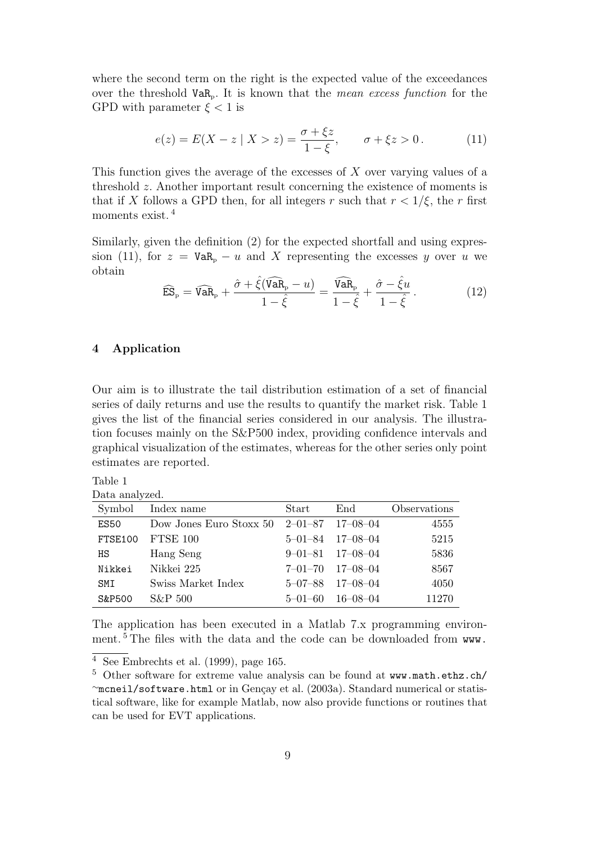where the second term on the right is the expected value of the exceedances over the threshold  $VaR_p$ . It is known that the *mean excess function* for the GPD with parameter  $\xi < 1$  is

$$
e(z) = E(X - z | X > z) = \frac{\sigma + \xi z}{1 - \xi}, \qquad \sigma + \xi z > 0.
$$
 (11)

This function gives the average of the excesses of X over varying values of a threshold z. Another important result concerning the existence of moments is that if X follows a GPD then, for all integers r such that  $r < 1/\xi$ , the r first moments exist.<sup>4</sup>

Similarly, given the definition (2) for the expected shortfall and using expression (11), for  $z = \text{VaR}_p - u$  and X representing the excesses y over u we obtain

$$
\widehat{\text{ES}}_{\text{p}} = \widehat{\text{VaR}}_{\text{p}} + \frac{\hat{\sigma} + \hat{\xi}(\widehat{\text{VaR}}_{\text{p}} - u)}{1 - \hat{\xi}} = \frac{\widehat{\text{VaR}}_{\text{p}}}{1 - \hat{\xi}} + \frac{\hat{\sigma} - \hat{\xi}u}{1 - \hat{\xi}}.
$$
(12)

## 4 Application

Our aim is to illustrate the tail distribution estimation of a set of financial series of daily returns and use the results to quantify the market risk. Table 1 gives the list of the financial series considered in our analysis. The illustration focuses mainly on the S&P500 index, providing confidence intervals and graphical visualization of the estimates, whereas for the other series only point estimates are reported.

Table 1

| Data analyzed. |  |  |
|----------------|--|--|
|----------------|--|--|

| Symbol  | Index name                                 | Start         | End                          | Observations |
|---------|--------------------------------------------|---------------|------------------------------|--------------|
| ES50    | Dow Jones Euro Stoxx 50 $2-01-87$ 17-08-04 |               |                              | 4555         |
| FTSE100 | $FTSE$ 100                                 |               | $5 - 01 - 84$ $17 - 08 - 04$ | 5215         |
| HS.     | Hang Seng                                  |               | $9 - 01 - 81$ $17 - 08 - 04$ | 5836         |
| Nikkei  | Nikkei 225                                 |               | $7 - 01 - 70$ $17 - 08 - 04$ | 8567         |
| SMI     | Swiss Market Index                         |               | $5 - 07 - 88$ $17 - 08 - 04$ | 4050         |
| S&P500  | S&P 500                                    | $5 - 01 - 60$ | $16 - 08 - 04$               | 11270        |

The application has been executed in a Matlab 7.x programming environment.<sup>5</sup> The files with the data and the code can be downloaded from www.

 $4$  See Embrechts et al. (1999), page 165.

<sup>&</sup>lt;sup>5</sup> Other software for extreme value analysis can be found at www.math.ethz.ch/ ∼mcneil/software.html or in Gençay et al. (2003a). Standard numerical or statistical software, like for example Matlab, now also provide functions or routines that can be used for EVT applications.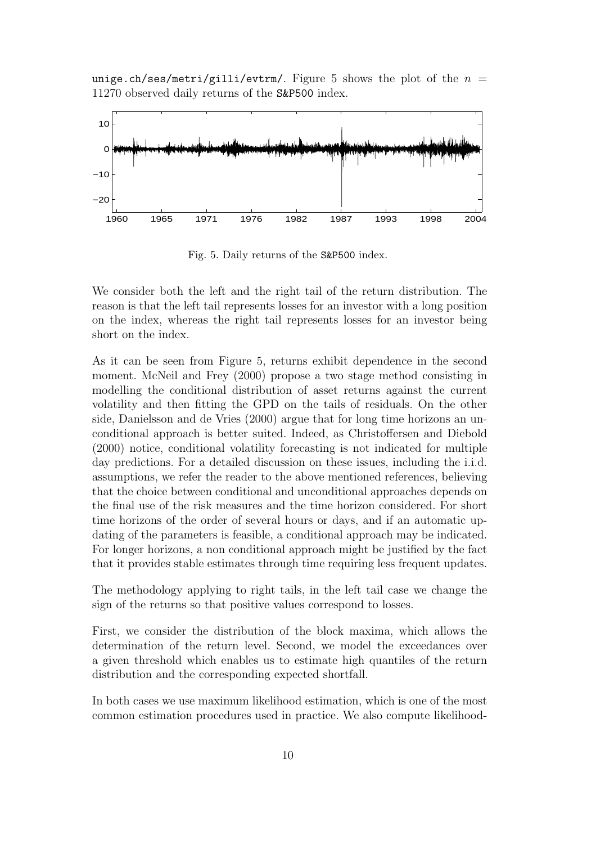unige.ch/ses/metri/gilli/evtrm/. Figure 5 shows the plot of the  $n =$ 11270 observed daily returns of the S&P500 index.



Fig. 5. Daily returns of the S&P500 index.

We consider both the left and the right tail of the return distribution. The reason is that the left tail represents losses for an investor with a long position on the index, whereas the right tail represents losses for an investor being short on the index.

As it can be seen from Figure 5, returns exhibit dependence in the second moment. McNeil and Frey (2000) propose a two stage method consisting in modelling the conditional distribution of asset returns against the current volatility and then fitting the GPD on the tails of residuals. On the other side, Danielsson and de Vries (2000) argue that for long time horizons an unconditional approach is better suited. Indeed, as Christoffersen and Diebold (2000) notice, conditional volatility forecasting is not indicated for multiple day predictions. For a detailed discussion on these issues, including the i.i.d. assumptions, we refer the reader to the above mentioned references, believing that the choice between conditional and unconditional approaches depends on the final use of the risk measures and the time horizon considered. For short time horizons of the order of several hours or days, and if an automatic updating of the parameters is feasible, a conditional approach may be indicated. For longer horizons, a non conditional approach might be justified by the fact that it provides stable estimates through time requiring less frequent updates.

The methodology applying to right tails, in the left tail case we change the sign of the returns so that positive values correspond to losses.

First, we consider the distribution of the block maxima, which allows the determination of the return level. Second, we model the exceedances over a given threshold which enables us to estimate high quantiles of the return distribution and the corresponding expected shortfall.

In both cases we use maximum likelihood estimation, which is one of the most common estimation procedures used in practice. We also compute likelihood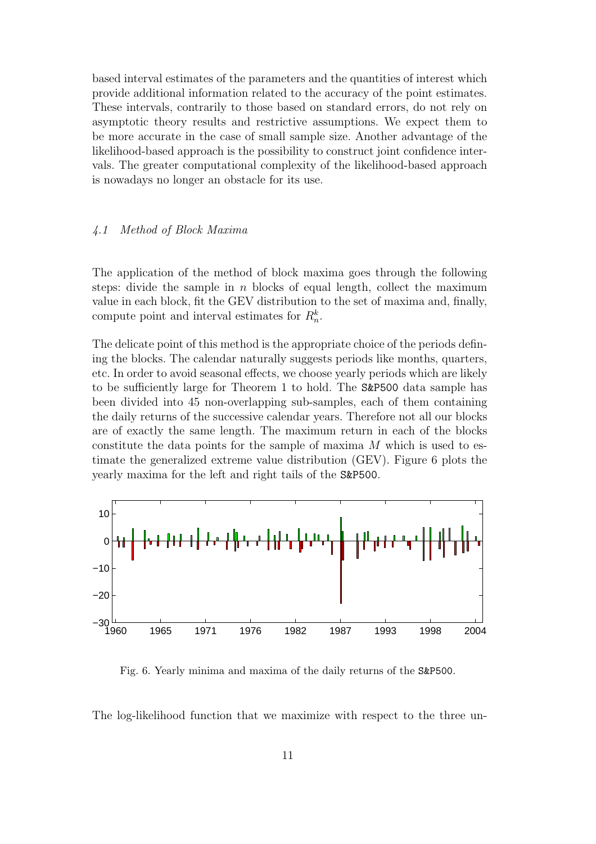based interval estimates of the parameters and the quantities of interest which provide additional information related to the accuracy of the point estimates. These intervals, contrarily to those based on standard errors, do not rely on asymptotic theory results and restrictive assumptions. We expect them to be more accurate in the case of small sample size. Another advantage of the likelihood-based approach is the possibility to construct joint confidence intervals. The greater computational complexity of the likelihood-based approach is nowadays no longer an obstacle for its use.

## 4.1 Method of Block Maxima

The application of the method of block maxima goes through the following steps: divide the sample in n blocks of equal length, collect the maximum value in each block, fit the GEV distribution to the set of maxima and, finally, compute point and interval estimates for  $R_n^k$ .

The delicate point of this method is the appropriate choice of the periods defining the blocks. The calendar naturally suggests periods like months, quarters, etc. In order to avoid seasonal effects, we choose yearly periods which are likely to be sufficiently large for Theorem 1 to hold. The S&P500 data sample has been divided into 45 non-overlapping sub-samples, each of them containing the daily returns of the successive calendar years. Therefore not all our blocks are of exactly the same length. The maximum return in each of the blocks constitute the data points for the sample of maxima  $M$  which is used to estimate the generalized extreme value distribution (GEV). Figure 6 plots the yearly maxima for the left and right tails of the S&P500.



Fig. 6. Yearly minima and maxima of the daily returns of the S&P500.

The log-likelihood function that we maximize with respect to the three un-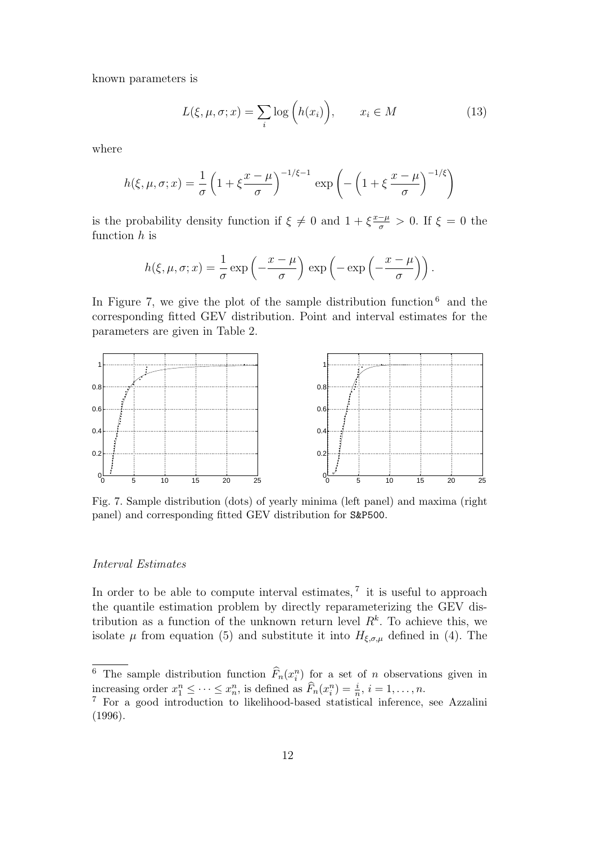known parameters is

$$
L(\xi, \mu, \sigma; x) = \sum_{i} \log \left( h(x_i) \right), \qquad x_i \in M \tag{13}
$$

where

$$
h(\xi, \mu, \sigma; x) = \frac{1}{\sigma} \left( 1 + \xi \frac{x - \mu}{\sigma} \right)^{-1/\xi - 1} \exp \left( - \left( 1 + \xi \frac{x - \mu}{\sigma} \right)^{-1/\xi} \right)
$$

is the probability density function if  $\xi \neq 0$  and  $1 + \xi \frac{x-\mu}{\sigma} > 0$ . If  $\xi = 0$  the function  $h$  is

$$
h(\xi, \mu, \sigma; x) = \frac{1}{\sigma} \exp\left(-\frac{x-\mu}{\sigma}\right) \exp\left(-\exp\left(-\frac{x-\mu}{\sigma}\right)\right).
$$

In Figure 7, we give the plot of the sample distribution function  $6$  and the corresponding fitted GEV distribution. Point and interval estimates for the parameters are given in Table 2.



Fig. 7. Sample distribution (dots) of yearly minima (left panel) and maxima (right panel) and corresponding fitted GEV distribution for S&P500.

## Interval Estimates

In order to be able to compute interval estimates,<sup> $7$ </sup> it is useful to approach the quantile estimation problem by directly reparameterizing the GEV distribution as a function of the unknown return level  $R<sup>k</sup>$ . To achieve this, we isolate  $\mu$  from equation (5) and substitute it into  $H_{\xi,\sigma,\mu}$  defined in (4). The

<sup>&</sup>lt;sup>6</sup> The sample distribution function  $\widehat{F}_n(x_i^n)$  for a set of *n* observations given in increasing order  $x_1^n \leq \cdots \leq x_n^n$ , is defined as  $\widehat{F}_n(x_i^n) = \frac{i}{n}, i = 1, \ldots, n$ .

<sup>7</sup> For a good introduction to likelihood-based statistical inference, see Azzalini (1996).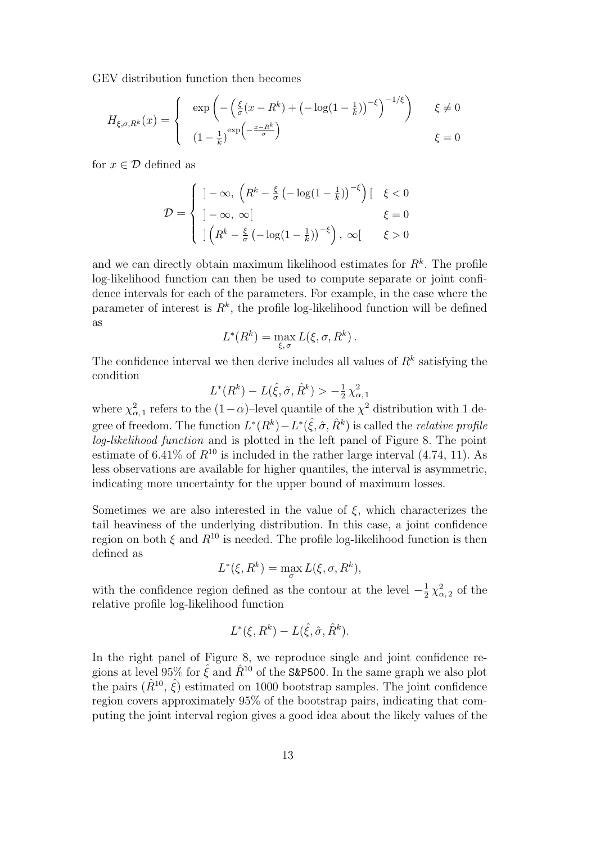GEV distribution function then becomes

$$
H_{\xi,\sigma,R^k}(x) = \begin{cases} \exp\left(-\left(\frac{\xi}{\sigma}(x-R^k) + (-\log(1-\frac{1}{k}))^{-\xi}\right)^{-1/\xi}\right) & \xi \neq 0\\ (1-\frac{1}{k})^{\exp\left(-\frac{x-R^k}{\sigma}\right)} & \xi = 0 \end{cases}
$$

for  $x \in \mathcal{D}$  defined as

$$
\mathcal{D} = \begin{cases} \n\left[ -\infty, \left( R^k - \frac{\xi}{\sigma} \left( -\log(1 - \frac{1}{k}) \right)^{-\xi} \right) \right] & \xi < 0 \\ \n\left[ -\infty, \infty \right] & \xi = 0 \\ \n\left[ \left( R^k - \frac{\xi}{\sigma} \left( -\log(1 - \frac{1}{k}) \right)^{-\xi} \right), \infty \right] & \xi > 0 \n\end{cases}
$$

and we can directly obtain maximum likelihood estimates for  $R<sup>k</sup>$ . The profile log-likelihood function can then be used to compute separate or joint confidence intervals for each of the parameters. For example, in the case where the parameter of interest is  $R^k$ , the profile log-likelihood function will be defined as

$$
L^*(R^k) = \max_{\xi, \sigma} L(\xi, \sigma, R^k).
$$

The confidence interval we then derive includes all values of  $R<sup>k</sup>$  satisfying the condition

$$
L^*(R^k) - L(\hat{\xi}, \hat{\sigma}, \hat{R}^k) > -\frac{1}{2}\chi^2_{\alpha, 1}
$$

where  $\chi^2_{\alpha,1}$  refers to the  $(1-\alpha)$ -level quantile of the  $\chi^2$  distribution with 1 degree of freedom. The function  $L^*(R^k) - L^*(\hat{\xi}, \hat{\sigma}, \hat{R}^k)$  is called the *relative profile* log-likelihood function and is plotted in the left panel of Figure 8. The point estimate of 6.41% of  $R^{10}$  is included in the rather large interval (4.74, 11). As less observations are available for higher quantiles, the interval is asymmetric, indicating more uncertainty for the upper bound of maximum losses.

Sometimes we are also interested in the value of  $\xi$ , which characterizes the tail heaviness of the underlying distribution. In this case, a joint confidence region on both  $\xi$  and  $R^{10}$  is needed. The profile log-likelihood function is then defined as

$$
L^*(\xi, R^k) = \max_{\sigma} L(\xi, \sigma, R^k),
$$

with the confidence region defined as the contour at the level  $-\frac{1}{2}$  $\frac{1}{2}\chi^2_{\alpha,2}$  of the relative profile log-likelihood function

$$
L^*(\xi, R^k) - L(\hat{\xi}, \hat{\sigma}, \hat{R}^k).
$$

In the right panel of Figure 8, we reproduce single and joint confidence regions at level 95% for  $\hat{\xi}$  and  $\hat{R}^{10}$  of the **S&P500**. In the same graph we also plot the pairs  $(\hat{R}^{10}, \hat{\xi})$  estimated on 1000 bootstrap samples. The joint confidence region covers approximately 95% of the bootstrap pairs, indicating that computing the joint interval region gives a good idea about the likely values of the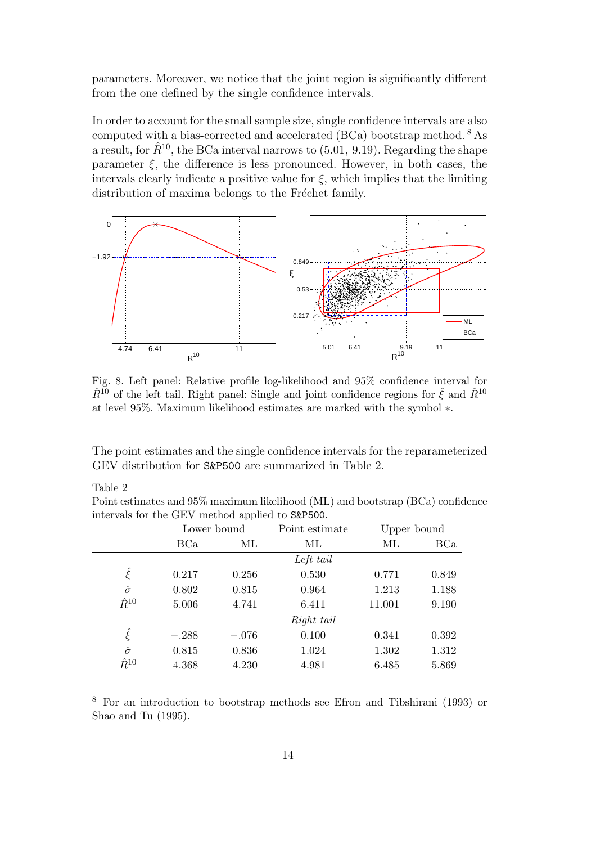parameters. Moreover, we notice that the joint region is significantly different from the one defined by the single confidence intervals.

In order to account for the small sample size, single confidence intervals are also computed with a bias-corrected and accelerated (BCa) bootstrap method. <sup>8</sup> As a result, for  $\hat{R}^{10}$ , the BCa interval narrows to (5.01, 9.19). Regarding the shape parameter  $\xi$ , the difference is less pronounced. However, in both cases, the intervals clearly indicate a positive value for  $\xi$ , which implies that the limiting distribution of maxima belongs to the Fréchet family.



Fig. 8. Left panel: Relative profile log-likelihood and 95% confidence interval for  $\hat{R}^{10}$  of the left tail. Right panel: Single and joint confidence regions for  $\hat{\xi}$  and  $\hat{R}^{10}$ at level 95%. Maximum likelihood estimates are marked with the symbol ∗.

The point estimates and the single confidence intervals for the reparameterized GEV distribution for S&P500 are summarized in Table 2.

Table 2

| Point estimates and 95% maximum likelihood (ML) and bootstrap (BCa) confidence |  |
|--------------------------------------------------------------------------------|--|
| intervals for the GEV method applied to S&P500.                                |  |

|                | Lower bound |            | Point estimate  |       | Upper bound |  |
|----------------|-------------|------------|-----------------|-------|-------------|--|
|                | BCa         | МL         | МL              | МL    | BCa         |  |
|                |             | Left tail  |                 |       |             |  |
| $\xi$          | 0.217       | 0.256      | 0.530           | 0.771 | 0.849       |  |
| $\hat{\sigma}$ | 0.802       | 0.815      | 0.964           | 1.213 | 1.188       |  |
| $\hat{R}^{10}$ | 5.006       | 4.741      | 6.411<br>11.001 |       | 9.190       |  |
|                |             | Right tail |                 |       |             |  |
| ξ              | $-.288$     | $-.076$    | 0.100           | 0.341 | 0.392       |  |
| $\hat{\sigma}$ | 0.815       | 0.836      | 1.024           | 1.302 | 1.312       |  |
| $\hat{R}^{10}$ | 4.368       | 4.230      | 4.981           | 6.485 | 5.869       |  |

<sup>8</sup> For an introduction to bootstrap methods see Efron and Tibshirani (1993) or Shao and Tu (1995).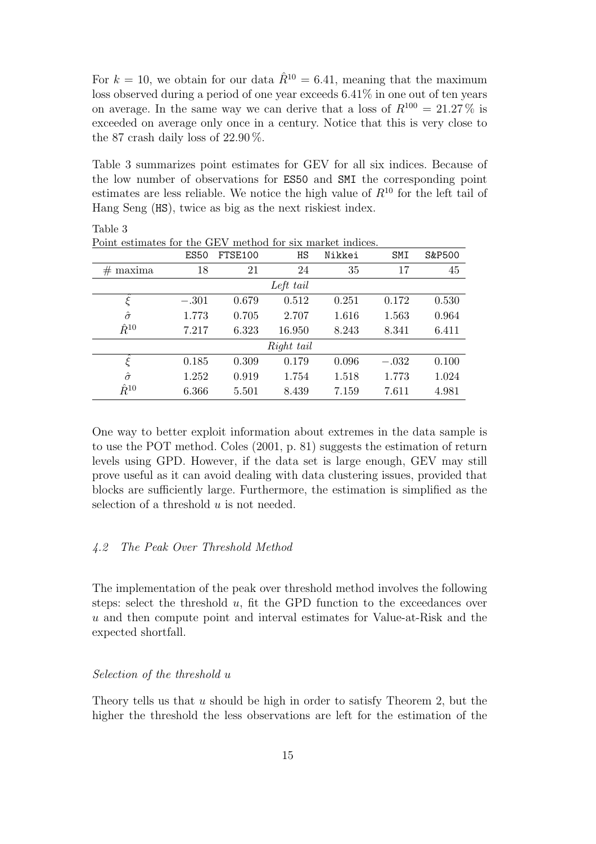For  $k = 10$ , we obtain for our data  $\hat{R}^{10} = 6.41$ , meaning that the maximum loss observed during a period of one year exceeds 6.41% in one out of ten years on average. In the same way we can derive that a loss of  $R^{100} = 21.27\%$  is exceeded on average only once in a century. Notice that this is very close to the 87 crash daily loss of  $22.90\%$ .

Table 3 summarizes point estimates for GEV for all six indices. Because of the low number of observations for ES50 and SMI the corresponding point estimates are less reliable. We notice the high value of  $R^{10}$  for the left tail of Hang Seng (HS), twice as big as the next riskiest index.

| Point estimates for the GEV method for six market indices. |             |         |           |        |         |        |  |
|------------------------------------------------------------|-------------|---------|-----------|--------|---------|--------|--|
|                                                            | <b>ES50</b> | FTSE100 | HS        | Nikkei | SMI     | S&P500 |  |
| maxima<br>#                                                | 18          | 21      | 24        | 35     | 17      | 45     |  |
|                                                            |             |         | Left tail |        |         |        |  |
| $\dot{\xi}$                                                | $-.301$     | 0.679   | 0.512     | 0.251  | 0.172   | 0.530  |  |
| $\hat{\sigma}$                                             | 1.773       | 0.705   | 2.707     | 1.616  | 1.563   | 0.964  |  |
| $\hat{R}^{10}$                                             | 7.217       | 6.323   | 16.950    | 8.243  | 8.341   | 6.411  |  |
| Right tail                                                 |             |         |           |        |         |        |  |
| $\ddot{\xi}$                                               | 0.185       | 0.309   | 0.179     | 0.096  | $-.032$ | 0.100  |  |
| $\hat{\sigma}$                                             | 1.252       | 0.919   | 1.754     | 1.518  | 1.773   | 1.024  |  |
| $\hat{R}^{10}$                                             | 6.366       | 5.501   | 8.439     | 7.159  | 7.611   | 4.981  |  |

Table 3

One way to better exploit information about extremes in the data sample is to use the POT method. Coles (2001, p. 81) suggests the estimation of return levels using GPD. However, if the data set is large enough, GEV may still prove useful as it can avoid dealing with data clustering issues, provided that blocks are sufficiently large. Furthermore, the estimation is simplified as the selection of a threshold  $u$  is not needed.

## 4.2 The Peak Over Threshold Method

The implementation of the peak over threshold method involves the following steps: select the threshold u, fit the GPD function to the exceedances over u and then compute point and interval estimates for Value-at-Risk and the expected shortfall.

## Selection of the threshold u

Theory tells us that  $u$  should be high in order to satisfy Theorem 2, but the higher the threshold the less observations are left for the estimation of the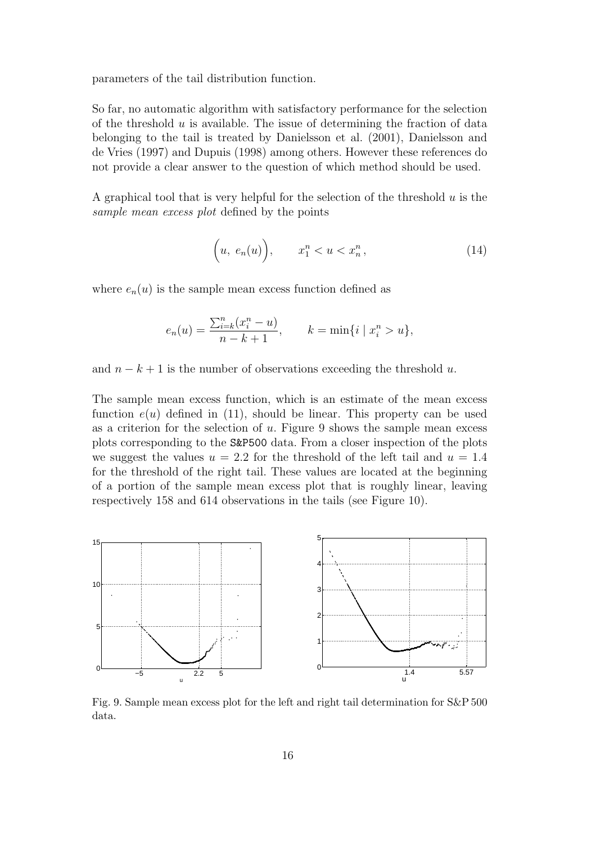parameters of the tail distribution function.

So far, no automatic algorithm with satisfactory performance for the selection of the threshold  $u$  is available. The issue of determining the fraction of data belonging to the tail is treated by Danielsson et al. (2001), Danielsson and de Vries (1997) and Dupuis (1998) among others. However these references do not provide a clear answer to the question of which method should be used.

A graphical tool that is very helpful for the selection of the threshold  $u$  is the sample mean excess plot defined by the points

$$
\left(u, e_n(u)\right), \qquad x_1^n < u < x_n^n,\tag{14}
$$

where  $e_n(u)$  is the sample mean excess function defined as

$$
e_n(u) = \frac{\sum_{i=k}^n (x_i^n - u)}{n - k + 1}, \qquad k = \min\{i \mid x_i^n > u\},\
$$

and  $n - k + 1$  is the number of observations exceeding the threshold u.

The sample mean excess function, which is an estimate of the mean excess function  $e(u)$  defined in (11), should be linear. This property can be used as a criterion for the selection of  $u$ . Figure 9 shows the sample mean excess plots corresponding to the S&P500 data. From a closer inspection of the plots we suggest the values  $u = 2.2$  for the threshold of the left tail and  $u = 1.4$ for the threshold of the right tail. These values are located at the beginning of a portion of the sample mean excess plot that is roughly linear, leaving respectively 158 and 614 observations in the tails (see Figure 10).



Fig. 9. Sample mean excess plot for the left and right tail determination for S&P 500 data.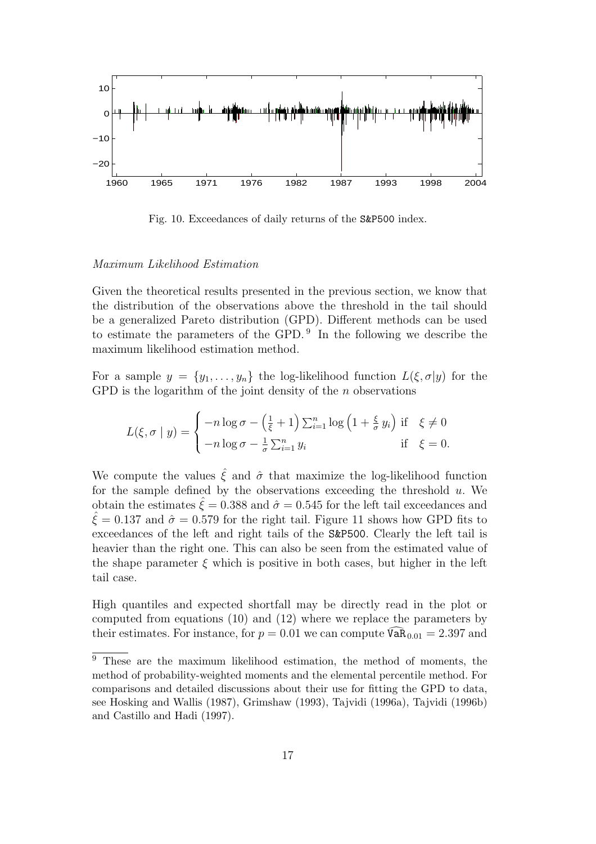

Fig. 10. Exceedances of daily returns of the S&P500 index.

## Maximum Likelihood Estimation

Given the theoretical results presented in the previous section, we know that the distribution of the observations above the threshold in the tail should be a generalized Pareto distribution (GPD). Different methods can be used to estimate the parameters of the GPD.<sup>9</sup> In the following we describe the maximum likelihood estimation method.

For a sample  $y = \{y_1, \ldots, y_n\}$  the log-likelihood function  $L(\xi, \sigma | y)$  for the GPD is the logarithm of the joint density of the  $n$  observations

$$
L(\xi, \sigma \mid y) = \begin{cases} -n \log \sigma - \left(\frac{1}{\xi} + 1\right) \sum_{i=1}^{n} \log \left(1 + \frac{\xi}{\sigma} y_i\right) & \text{if } \xi \neq 0 \\ -n \log \sigma - \frac{1}{\sigma} \sum_{i=1}^{n} y_i & \text{if } \xi = 0. \end{cases}
$$

We compute the values  $\hat{\xi}$  and  $\hat{\sigma}$  that maximize the log-likelihood function for the sample defined by the observations exceeding the threshold  $u$ . We obtain the estimates  $\hat{\xi} = 0.388$  and  $\hat{\sigma} = 0.545$  for the left tail exceedances and  $\xi = 0.137$  and  $\hat{\sigma} = 0.579$  for the right tail. Figure 11 shows how GPD fits to exceedances of the left and right tails of the S&P500. Clearly the left tail is heavier than the right one. This can also be seen from the estimated value of the shape parameter  $\xi$  which is positive in both cases, but higher in the left tail case.

High quantiles and expected shortfall may be directly read in the plot or computed from equations (10) and (12) where we replace the parameters by their estimates. For instance, for  $p = 0.01$  we can compute  $\widehat{VaR}_{0.01} = 2.397$  and

<sup>&</sup>lt;sup>9</sup> These are the maximum likelihood estimation, the method of moments, the method of probability-weighted moments and the elemental percentile method. For comparisons and detailed discussions about their use for fitting the GPD to data, see Hosking and Wallis (1987), Grimshaw (1993), Tajvidi (1996a), Tajvidi (1996b) and Castillo and Hadi (1997).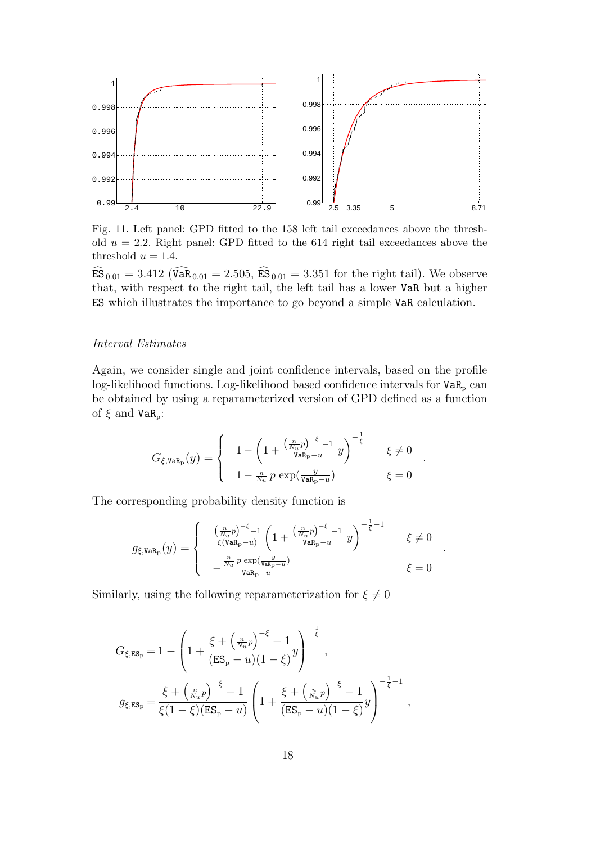

Fig. 11. Left panel: GPD fitted to the 158 left tail exceedances above the threshold  $u = 2.2$ . Right panel: GPD fitted to the 614 right tail exceedances above the threshold  $u = 1.4$ .

 $\widehat{\text{ES}}_{0.01} = 3.412 \text{ (VaR}_{0.01} = 2.505, \widehat{\text{ES}}_{0.01} = 3.351 \text{ for the right tail). We observe}$ that, with respect to the right tail, the left tail has a lower VaR but a higher ES which illustrates the importance to go beyond a simple VaR calculation.

#### Interval Estimates

Again, we consider single and joint confidence intervals, based on the profile log-likelihood functions. Log-likelihood based confidence intervals for  $VaR<sub>p</sub>$  can be obtained by using a reparameterized version of GPD defined as a function of  $\xi$  and  $VaR_{p}$ :

$$
G_{\xi,\mathrm{VaR}_{\mathrm{p}}}(y) = \begin{cases} \begin{array}{c} 1 - \left(1 + \frac{\left(\frac{n}{N_u}p\right)^{-\xi} - 1}{\mathrm{VaR}_{\mathrm{p}} - u} \ y\right)^{-\frac{1}{\xi}} \qquad \xi \neq 0 \\ 1 - \frac{n}{N_u} \, p \, \exp(\frac{y}{\mathrm{VaR}_{\mathrm{p}} - u}) \end{array} \qquad \xi = 0 \end{cases}
$$

.

.

The corresponding probability density function is

$$
g_{\xi,\mathrm{VaR}_{\mathrm{p}}}(y) = \left\{ \begin{array}{cl} \frac{\left(\frac{n}{N_{u}}p\right)^{-\xi}-1}{\xi(\mathrm{VaR}_{\mathrm{p}}-u)}\left(1+\frac{\left(\frac{n}{N_{u}}p\right)^{-\xi}-1}{\mathrm{VaR}_{\mathrm{p}}-u}\ y\right)^{-\frac{1}{\xi}-1} & \xi \neq 0 \\ -\frac{\frac{n}{N_{u}}p\,\exp(\frac{y}{\mathrm{VaR}_{\mathrm{p}}-u})}{\mathrm{VaR}_{\mathrm{p}}-u} & \xi = 0 \end{array} \right.
$$

Similarly, using the following reparameterization for  $\xi \neq 0$ 

$$
G_{\xi, \text{ES}_{p}} = 1 - \left( 1 + \frac{\xi + \left(\frac{n}{N_{u}} p\right)^{-\xi} - 1}{\left(\text{ES}_{p} - u\right)\left(1 - \xi\right)} y \right)^{-\frac{1}{\xi}},
$$
  

$$
g_{\xi, \text{ES}_{p}} = \frac{\xi + \left(\frac{n}{N_{u}} p\right)^{-\xi} - 1}{\xi (1 - \xi)(\text{ES}_{p} - u)} \left( 1 + \frac{\xi + \left(\frac{n}{N_{u}} p\right)^{-\xi} - 1}{\left(\text{ES}_{p} - u\right)\left(1 - \xi\right)} y \right)^{-\frac{1}{\xi} - 1},
$$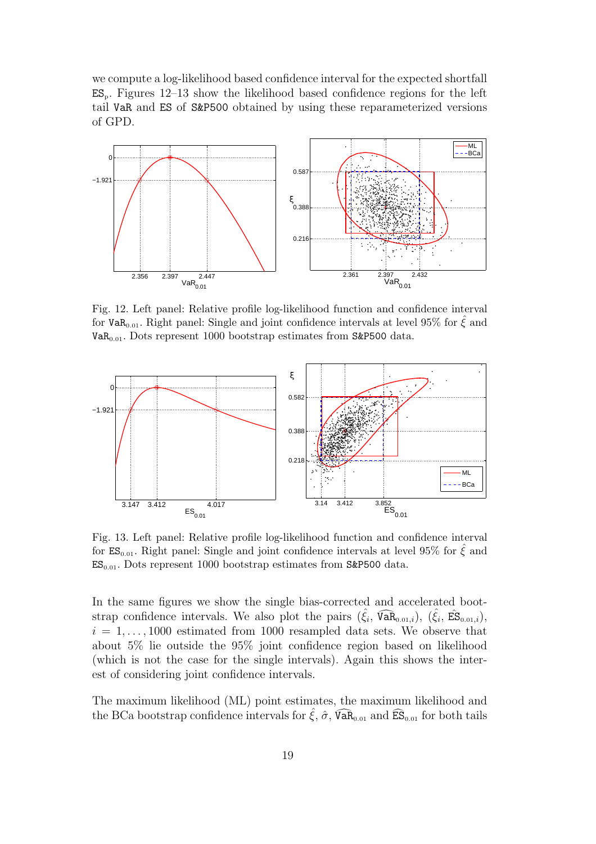we compute a log-likelihood based confidence interval for the expected shortfall  $ES_p$ . Figures 12–13 show the likelihood based confidence regions for the left tail VaR and ES of S&P500 obtained by using these reparameterized versions of GPD.



Fig. 12. Left panel: Relative profile log-likelihood function and confidence interval for VaR<sub>0.01</sub>. Right panel: Single and joint confidence intervals at level 95% for  $\hat{\xi}$  and  $VaR_{0.01}$ . Dots represent 1000 bootstrap estimates from S&P500 data.



Fig. 13. Left panel: Relative profile log-likelihood function and confidence interval for  $ES_{0.01}$ . Right panel: Single and joint confidence intervals at level 95% for  $\xi$  and  $ES_{0.01}$ . Dots represent 1000 bootstrap estimates from S&P500 data.

In the same figures we show the single bias-corrected and accelerated bootstrap confidence intervals. We also plot the pairs  $(\hat{\xi}_i, \widehat{var}_{0.01,i}), (\hat{\xi}_i, \widehat{ES}_{0.01,i}),$  $i = 1, \ldots, 1000$  estimated from 1000 resampled data sets. We observe that about 5% lie outside the 95% joint confidence region based on likelihood (which is not the case for the single intervals). Again this shows the interest of considering joint confidence intervals.

The maximum likelihood (ML) point estimates, the maximum likelihood and the BCa bootstrap confidence intervals for  $\xi$ ,  $\hat{\sigma}$ ,  $\widehat{\text{VaR}}_{0.01}$  and  $\widehat{\text{ES}}_{0.01}$  for both tails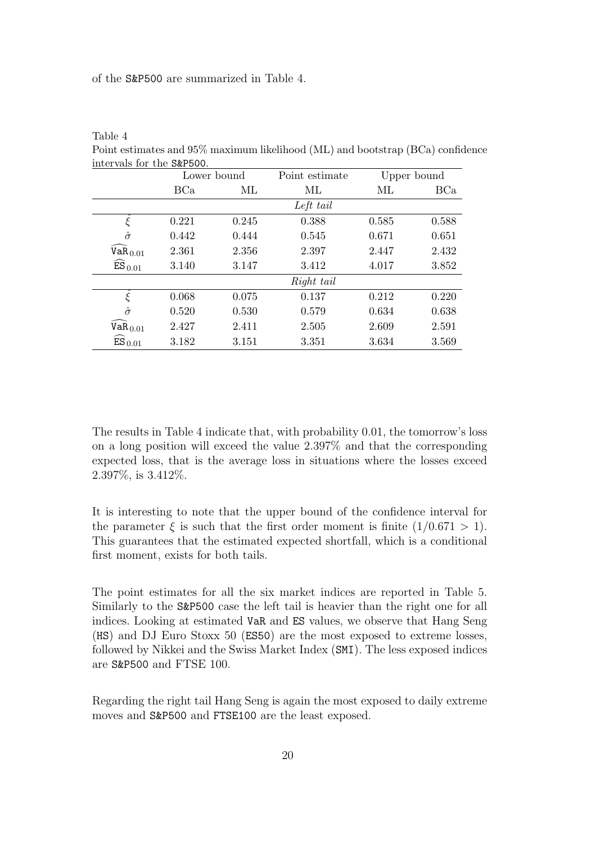of the S&P500 are summarized in Table 4.

Table 4

intervals for the S&P500. Lower bound Point estimate Upper bound BCa ML ML ML BCa Left tail  $\hat{\xi}$  0.221 0.245 0.388 0.585 0.588  $\hat{\sigma}$  0.442 0.444 0.545 0.671 0.651  $\widehat{\text{VaR}}_{0.01}$  2.361 2.356 2.397 2.447 2.432  $\widehat{\text{ES}}_{0.01}$  3.140 3.147 3.412 4.017 3.852 Right tail  $\hat{\xi}$  0.068 0.075 0.137 0.212 0.220  $\hat{\sigma}$  0.520 0.530 0.579 0.634 0.638  $\widehat{\text{VaR}}_{0.01}$  2.427 2.411 2.505 2.609 2.591  $\widehat{\text{ES}}_{0.01}$  3.182 3.151 3.351 3.634 3.569

Point estimates and 95% maximum likelihood (ML) and bootstrap (BCa) confidence

The results in Table 4 indicate that, with probability 0.01, the tomorrow's loss on a long position will exceed the value 2.397% and that the corresponding expected loss, that is the average loss in situations where the losses exceed 2.397%, is 3.412%.

It is interesting to note that the upper bound of the confidence interval for the parameter  $\xi$  is such that the first order moment is finite  $(1/0.671 > 1)$ . This guarantees that the estimated expected shortfall, which is a conditional first moment, exists for both tails.

The point estimates for all the six market indices are reported in Table 5. Similarly to the S&P500 case the left tail is heavier than the right one for all indices. Looking at estimated VaR and ES values, we observe that Hang Seng (HS) and DJ Euro Stoxx 50 (ES50) are the most exposed to extreme losses, followed by Nikkei and the Swiss Market Index (SMI). The less exposed indices are S&P500 and FTSE 100.

Regarding the right tail Hang Seng is again the most exposed to daily extreme moves and S&P500 and FTSE100 are the least exposed.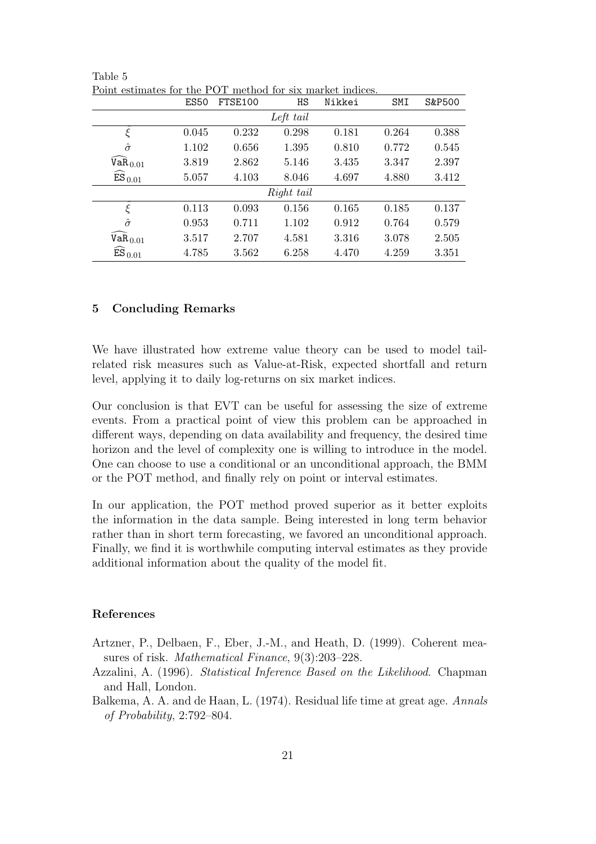| I ONN estimates for the I O I method for six market murces. |             |         |            |        |       |        |
|-------------------------------------------------------------|-------------|---------|------------|--------|-------|--------|
|                                                             | <b>ES50</b> | FTSE100 | HS         | Nikkei | SMI   | S&P500 |
|                                                             |             |         | Left tail  |        |       |        |
| $\mathcal{E}_{\mathcal{E}}$                                 | 0.045       | 0.232   | 0.298      | 0.181  | 0.264 | 0.388  |
| $\hat{\sigma}$                                              | 1.102       | 0.656   | 1.395      | 0.810  | 0.772 | 0.545  |
| $VaR_{0.01}$                                                | 3.819       | 2.862   | 5.146      | 3.435  | 3.347 | 2.397  |
| $\widehat{\texttt{ES}}_{0.01}$                              | 5.057       | 4.103   | 8.046      | 4.697  | 4.880 | 3.412  |
|                                                             |             |         | Right tail |        |       |        |
| $\xi$                                                       | 0.113       | 0.093   | 0.156      | 0.165  | 0.185 | 0.137  |
| $\hat{\sigma}$                                              | 0.953       | 0.711   | 1.102      | 0.912  | 0.764 | 0.579  |
| $VaR_{0.01}$                                                | 3.517       | 2.707   | 4.581      | 3.316  | 3.078 | 2.505  |
| $\widehat{\texttt{ES}}_{0.01}$                              | 4.785       | 3.562   | 6.258      | 4.470  | 4.259 | 3.351  |

Table 5 Point estimates for the POT method for six market indices.

## 5 Concluding Remarks

We have illustrated how extreme value theory can be used to model tailrelated risk measures such as Value-at-Risk, expected shortfall and return level, applying it to daily log-returns on six market indices.

Our conclusion is that EVT can be useful for assessing the size of extreme events. From a practical point of view this problem can be approached in different ways, depending on data availability and frequency, the desired time horizon and the level of complexity one is willing to introduce in the model. One can choose to use a conditional or an unconditional approach, the BMM or the POT method, and finally rely on point or interval estimates.

In our application, the POT method proved superior as it better exploits the information in the data sample. Being interested in long term behavior rather than in short term forecasting, we favored an unconditional approach. Finally, we find it is worthwhile computing interval estimates as they provide additional information about the quality of the model fit.

## References

- Artzner, P., Delbaen, F., Eber, J.-M., and Heath, D. (1999). Coherent measures of risk. Mathematical Finance, 9(3):203–228.
- Azzalini, A. (1996). Statistical Inference Based on the Likelihood. Chapman and Hall, London.
- Balkema, A. A. and de Haan, L. (1974). Residual life time at great age. Annals of Probability, 2:792–804.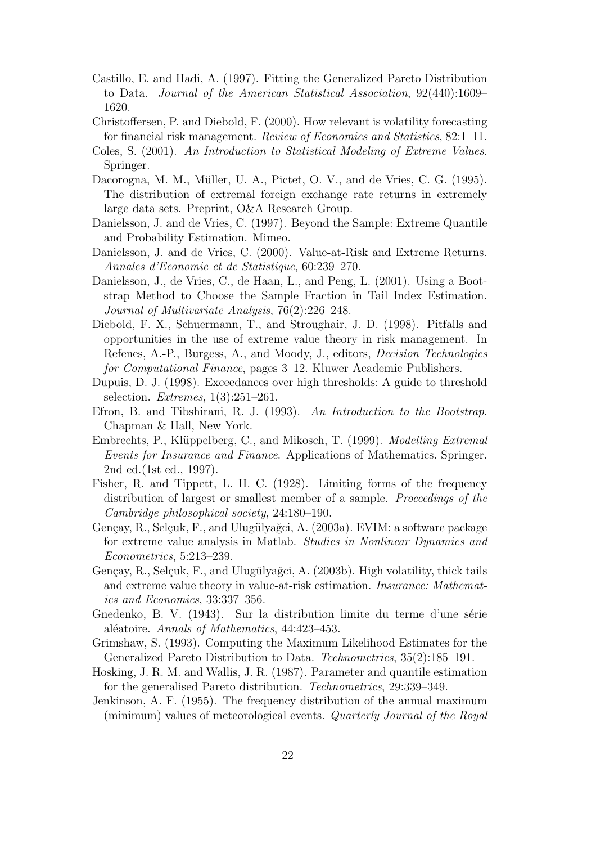- Castillo, E. and Hadi, A. (1997). Fitting the Generalized Pareto Distribution to Data. Journal of the American Statistical Association, 92(440):1609– 1620.
- Christoffersen, P. and Diebold, F. (2000). How relevant is volatility forecasting for financial risk management. Review of Economics and Statistics, 82:1–11.
- Coles, S. (2001). An Introduction to Statistical Modeling of Extreme Values. Springer.
- Dacorogna, M. M., Müller, U. A., Pictet, O. V., and de Vries, C. G. (1995). The distribution of extremal foreign exchange rate returns in extremely large data sets. Preprint, O&A Research Group.
- Danielsson, J. and de Vries, C. (1997). Beyond the Sample: Extreme Quantile and Probability Estimation. Mimeo.
- Danielsson, J. and de Vries, C. (2000). Value-at-Risk and Extreme Returns. Annales d'Economie et de Statistique, 60:239–270.
- Danielsson, J., de Vries, C., de Haan, L., and Peng, L. (2001). Using a Bootstrap Method to Choose the Sample Fraction in Tail Index Estimation. Journal of Multivariate Analysis, 76(2):226–248.
- Diebold, F. X., Schuermann, T., and Stroughair, J. D. (1998). Pitfalls and opportunities in the use of extreme value theory in risk management. In Refenes, A.-P., Burgess, A., and Moody, J., editors, Decision Technologies for Computational Finance, pages 3–12. Kluwer Academic Publishers.
- Dupuis, D. J. (1998). Exceedances over high thresholds: A guide to threshold selection. Extremes, 1(3):251–261.
- Efron, B. and Tibshirani, R. J. (1993). An Introduction to the Bootstrap. Chapman & Hall, New York.
- Embrechts, P., Klüppelberg, C., and Mikosch, T. (1999). *Modelling Extremal* Events for Insurance and Finance. Applications of Mathematics. Springer. 2nd ed.(1st ed., 1997).
- Fisher, R. and Tippett, L. H. C. (1928). Limiting forms of the frequency distribution of largest or smallest member of a sample. *Proceedings of the* Cambridge philosophical society, 24:180–190.
- Gençay, R., Selçuk, F., and Ulugülyağci, A. (2003a). EVIM: a software package for extreme value analysis in Matlab. Studies in Nonlinear Dynamics and Econometrics, 5:213–239.
- Gençay, R., Selçuk, F., and Ulugülyağci, A. (2003b). High volatility, thick tails and extreme value theory in value-at-risk estimation. Insurance: Mathematics and Economics, 33:337–356.
- Gnedenko, B. V. (1943). Sur la distribution limite du terme d'une série aléatoire. Annals of Mathematics, 44:423-453.
- Grimshaw, S. (1993). Computing the Maximum Likelihood Estimates for the Generalized Pareto Distribution to Data. Technometrics, 35(2):185–191.
- Hosking, J. R. M. and Wallis, J. R. (1987). Parameter and quantile estimation for the generalised Pareto distribution. Technometrics, 29:339–349.
- Jenkinson, A. F. (1955). The frequency distribution of the annual maximum (minimum) values of meteorological events. Quarterly Journal of the Royal